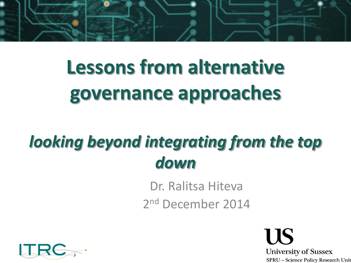

# **Lessons from alternative governance approaches**

## *looking beyond integrating from the top down*

Dr. Ralitsa Hiteva

 $Z^{\text{na}}$  December 2014 2<sup>nd</sup> December 2014



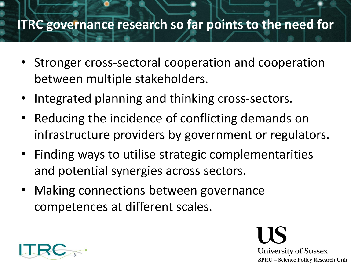### **ITRC governance research so far points to the need for**

- Stronger cross-sectoral cooperation and cooperation between multiple stakeholders.
- Integrated planning and thinking cross-sectors.
- Reducing the incidence of conflicting demands on infrastructure providers by government or regulators.
- Finding ways to utilise strategic complementarities and potential synergies across sectors.
- Making connections between governance competences at different scales.



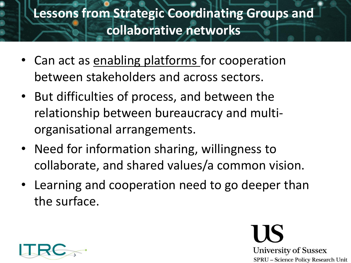## **Lessons from Strategic Coordinating Groups and collaborative networks**

- Can act as enabling platforms for cooperation between stakeholders and across sectors.
- But difficulties of process, and between the relationship between bureaucracy and multiorganisational arrangements.
- Need for information sharing, willingness to collaborate, and shared values/a common vision.
- Learning and cooperation need to go deeper than the surface.

**University of Sussex** 

SPRU - Science Policy Research Unit

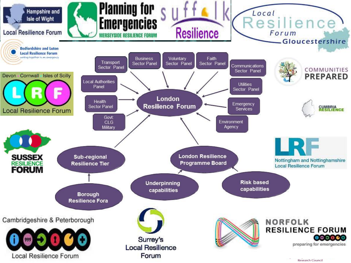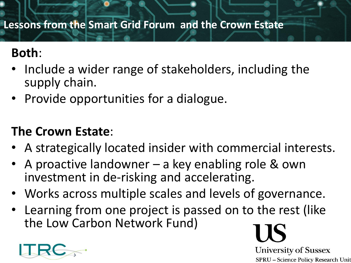#### **Lessons from the Smart Grid Forum and the Crown Estate**

## **Both**:

- Include a wider range of stakeholders, including the supply chain.
- Provide opportunities for a dialogue.

## **The Crown Estate**:

- A strategically located insider with commercial interests.
- A proactive landowner a key enabling role & own investment in de-risking and accelerating.
- Works across multiple scales and levels of governance.
- Learning from one project is passed on to the rest (like the Low Carbon Network Fund)



**University of Sussex** SPRU - Science Policy Research Unit